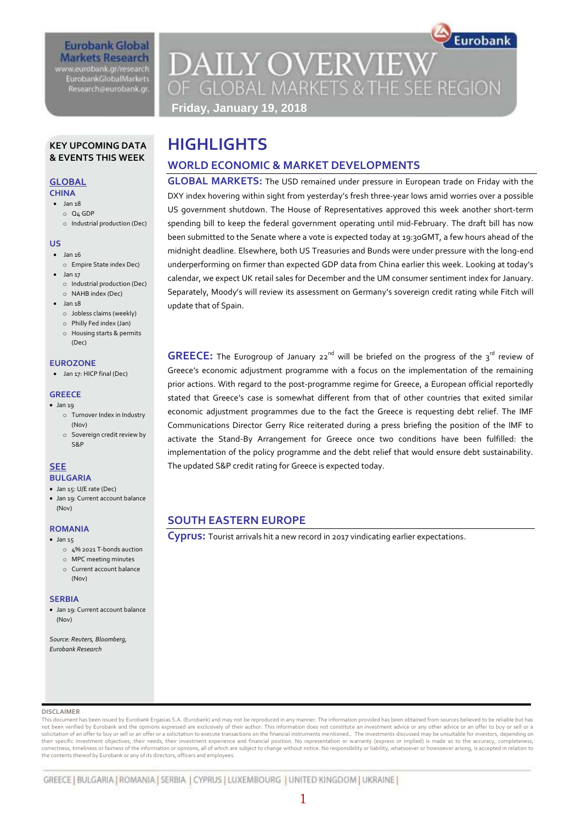## **Eurobank Global Markets Research**

www.eurobank.gr/research **EurobankGlobalMarkets** Research@eurobank.gr

# Eurobank **DAILY OVERVIEW** OF GLOBAL MARKETS & THE SEE REGION **Friday, January 19, 2018**

#### **KEY UPCOMING DATA & EVENTS THIS WEEK**

# **GLOBAL**

## **CHINA**

- $\bullet$  Jan 18 o Q4 GDP
	- o Industrial production (Dec)

#### **US**

- $\bullet$  Jan 16 o Empire State index Dec)
- Jan 17 o Industrial production (Dec) o NAHB index (Dec)
- $\bullet$  Jan 18
	- o Jobless claims (weekly)
	- o Philly Fed index (Jan)
	- o Housing starts & permits (Dec)

#### **EUROZONE**

Jan 17: HICP final (Dec)

#### **GREECE**

- $\bullet$  Jan 19 o Turnover Index in Industry
	- (Nov) o Sovereign credit review by S&P

# **SEE**

- **BULGARIA**
- Jan 15: U/E rate (Dec) Jan 19: Current account balance (Nov)

#### **ROMANIA**

- $\bullet$  Jan 15
	- o 4% 2021 T-bonds auction
	- o MPC meeting minutes o Current account balance (Nov)

#### **SERBIA**

 Jan 19: Current account balance (Nov)

*Source: Reuters, Bloomberg, Eurobank Research*

# **HIGHLIGHTS**

# **WORLD ECONOMIC & MARKET DEVELOPMENTS**

**GLOBAL MARKETS:** The USD remained under pressure in European trade on Friday with the DXY index hovering within sight from yesterday's fresh three-year lows amid worries over a possible US government shutdown. The House of Representatives approved this week another short-term spending bill to keep the federal government operating until mid-February. The draft bill has now been submitted to the Senate where a vote is expected today at 19:30GMT, a few hours ahead of the midnight deadline. Elsewhere, both US Treasuries and Bunds were under pressure with the long-end underperforming on firmer than expected GDP data from China earlier this week. Looking at today's calendar, we expect UK retail sales for December and the UM consumer sentiment index for January. Separately, Moody's will review its assessment on Germany's sovereign credit rating while Fitch will update that of Spain.

**GREECE:** The Eurogroup of January 22<sup>nd</sup> will be briefed on the progress of the 3<sup>rd</sup> review of Greece's economic adjustment programme with a focus on the implementation of the remaining prior actions. With regard to the post-programme regime for Greece, a European official reportedly stated that Greece's case is somewhat different from that of other countries that exited similar economic adjustment programmes due to the fact the Greece is requesting debt relief. The IMF Communications Director Gerry Rice reiterated during a press briefing the position of the IMF to activate the Stand-By Arrangement for Greece once two conditions have been fulfilled: the implementation of the policy programme and the debt relief that would ensure debt sustainability. The updated S&P credit rating for Greece is expected today.

# **SOUTH EASTERN EUROPE**

**Cyprus:** Tourist arrivals hit a new record in 2017 vindicating earlier expectations.

#### **DISCLAIMER**

This document has been issued by Eurobank Ergasias S.A. (Eurobank) and may not be reproduced in any manner. The information provided has been obtained from sources believed to be reliable but has not been verified by Eurobank and the opinions expressed are exclusively of their author. This information does not constitute an investment advice or any other advice or an offer to buy or sell or a solicitation of an offer to buy or sell or an offer or a solicitation to execute transactions on the financial instruments mentioned.. The investments discussed may be unsuitable for investors, depending on<br>their specific correctness, timeliness or fairness of the information or opinions, all of which are subject to change without notice. No responsibility or liability, whatsoever or howsoever arising, is accepted in relation to the contents thereof by Eurobank or any of its directors, officers and employees.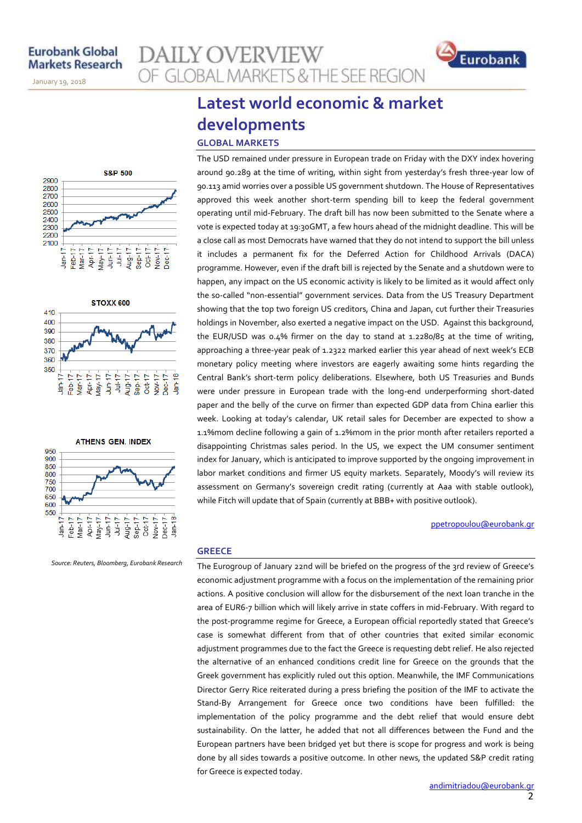November 14, 2013

January 19, 2018







*Source: Reuters, Bloomberg, Eurobank Research*

# **Latest world economic & market developments GLOBAL MARKETS**

**AILY OVERVIEW** 

OF GLOBAL MARKETS & THE SEE REGION

The USD remained under pressure in European trade on Friday with the DXY index hovering around 90.289 at the time of writing, within sight from yesterday's fresh three-year low of 90.113 amid worries over a possible US government shutdown. The House of Representatives approved this week another short-term spending bill to keep the federal government operating until mid-February. The draft bill has now been submitted to the Senate where a vote is expected today at 19:30GMT, a few hours ahead of the midnight deadline. This will be a close call as most Democrats have warned that they do not intend to support the bill unless it includes a permanent fix for the Deferred Action for Childhood Arrivals (DACA) programme. However, even if the draft bill is rejected by the Senate and a shutdown were to happen, any impact on the US economic activity is likely to be limited as it would affect only the so-called "non-essential" government services. Data from the US Treasury Department showing that the top two foreign US creditors, China and Japan, cut further their Treasuries holdings in November, also exerted a negative impact on the USD. Against this background, the EUR/USD was 0.4% firmer on the day to stand at 1.2280/85 at the time of writing, approaching a three-year peak of 1.2322 marked earlier this year ahead of next week's ECB monetary policy meeting where investors are eagerly awaiting some hints regarding the Central Bank's short-term policy deliberations. Elsewhere, both US Treasuries and Bunds were under pressure in European trade with the long-end underperforming short-dated paper and the belly of the curve on firmer than expected GDP data from China earlier this week. Looking at today's calendar, UK retail sales for December are expected to show a 1.1%mom decline following a gain of 1.2%mom in the prior month after retailers reported a disappointing Christmas sales period. In the US, we expect the UM consumer sentiment index for January, which is anticipated to improve supported by the ongoing improvement in labor market conditions and firmer US equity markets. Separately, Moody's will review its assessment on Germany's sovereign credit rating (currently at Aaa with stable outlook), while Fitch will update that of Spain (currently at BBB+ with positive outlook).

#### [ppetropoulou@eurobank.gr](mailto:ppetropoulou@eurobank.gr)

Eurobank

#### **GREECE**

The Eurogroup of January 22nd will be briefed on the progress of the 3rd review of Greece's economic adjustment programme with a focus on the implementation of the remaining prior actions. A positive conclusion will allow for the disbursement of the next loan tranche in the area of EUR6-7 billion which will likely arrive in state coffers in mid-February. With regard to the post-programme regime for Greece, a European official reportedly stated that Greece's case is somewhat different from that of other countries that exited similar economic adjustment programmes due to the fact the Greece is requesting debt relief. He also rejected the alternative of an enhanced conditions credit line for Greece on the grounds that the Greek government has explicitly ruled out this option. Meanwhile, the IMF Communications Director Gerry Rice reiterated during a press briefing the position of the IMF to activate the Stand-By Arrangement for Greece once two conditions have been fulfilled: the implementation of the policy programme and the debt relief that would ensure debt sustainability. On the latter, he added that not all differences between the Fund and the European partners have been bridged yet but there is scope for progress and work is being done by all sides towards a positive outcome. In other news, the updated S&P credit rating for Greece is expected today.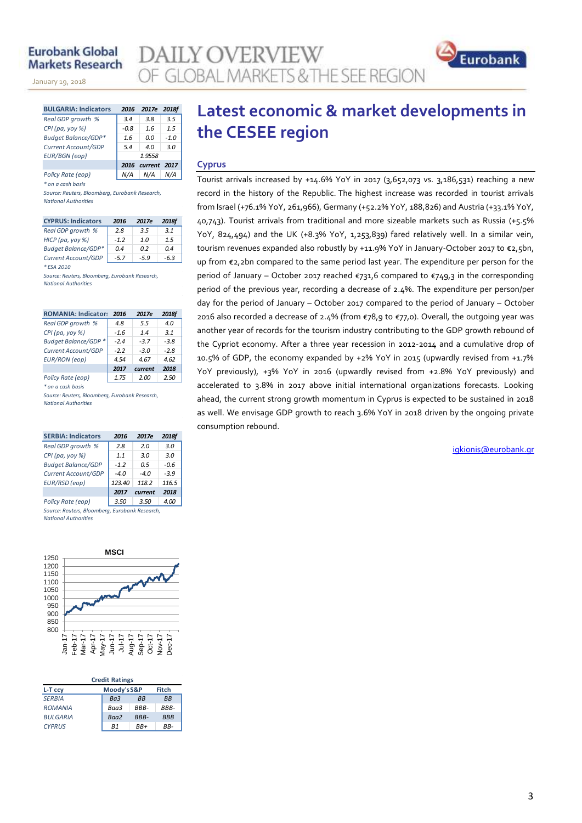## **Eurobank Global Markets Research**

January 19, 2018

| inets nesearch              |      |                  |                                                                             |                                    |
|-----------------------------|------|------------------|-----------------------------------------------------------------------------|------------------------------------|
| uary 19, 2018               |      |                  |                                                                             | OF GLOBAL MARKETS & THE SEE REGION |
|                             |      |                  |                                                                             |                                    |
| <b>BULGARIA: Indicators</b> |      | 2016 2017e 2018f |                                                                             | Latest economic & market dev       |
| Real GDP growth %           | 3.4  | 3.8              | 3.5                                                                         |                                    |
| CPI (pa, yoy %)             | -0.8 |                  | $\begin{array}{ c c c c } \hline 1.6 & 1.5 \\ \hline 0.0 & 1.0 \end{array}$ | the CESEE region                   |
| $0.14 + 0.14 + 0.002$       |      |                  |                                                                             |                                    |

| Real GDP growth %          | 3.4    | 3.8               | 3.5    |
|----------------------------|--------|-------------------|--------|
| CPI (pa, yoy %)            | $-0.8$ | 1.6               | 1.5    |
| <b>Budget Balance/GDP*</b> | 1.6    | 0.0               | $-1.0$ |
| Current Account/GDP        | 5.4    | 4 N               | 3.0    |
| <b>EUR/BGN</b> (eop)       |        | 1.9558            |        |
|                            |        | 2016 current 2017 |        |
| Policy Rate (eop)          |        | N/A               |        |

*\* on a cash basis*

*Source: Reuters, Bloomberg, Eurobank Research, National Authorities*

| <b>CYPRUS: Indicators</b>  | 2016   | 2017e  | 2018f |
|----------------------------|--------|--------|-------|
| Real GDP growth %          | 2.8    | 3.5    | 3.1   |
| HICP (pa, yoy %)           | $-1.2$ | 1.0    | 1.5   |
| <b>Budget Balance/GDP*</b> | 04     | n 2    | 04    |
| Current Account/GDP        | $-5.7$ | $-5.9$ | -6.3  |
| * FSA 2010                 |        |        |       |

*Source: Reuters, Bloomberg, Eurobank Research, National Authorities*

| <b>ROMANIA: Indicator:</b> | 2016   | 2017e   | <b>2018f</b> |
|----------------------------|--------|---------|--------------|
| Real GDP growth %          | 4.8    | 5.5     | 4.0          |
| CPI (pa, yoy %)            | $-1.6$ | 14      | 3.1          |
| Budget Balance/GDP*        | $-24$  | $-3.7$  | $-3.8$       |
| Current Account/GDP        | $-2.2$ | $-3.0$  | $-2.8$       |
| <b>EUR/RON</b> (eop)       | 4.54   | 4.67    | 4.62         |
|                            | 2017   | current | 2018         |
| Policy Rate (eop)          | 1.75   | 2.00    | 2.50         |

*\* on a cash basis*

*Source: Reuters, Bloomberg, Eurobank Research, National Authorities*

| <b>SERBIA: Indicators</b>                      | 2016   | 2017e   | 2018f  |
|------------------------------------------------|--------|---------|--------|
| Real GDP growth %                              | 2.8    | 2.0     | 3.0    |
| CPI (pa, yoy %)                                | 11     | 3.0     | 3.0    |
| <b>Budget Balance/GDP</b>                      | $-1.2$ | 0.5     | -0.6   |
| Current Account/GDP                            | -40    | -40     | $-3.9$ |
| EUR/RSD (eop)                                  | 123.40 | 118.2   | 116.5  |
|                                                | 2017   | current | 2018   |
| Policy Rate (eop)                              | 3.50   | 3.50    | 4.00   |
| Source: Reuters, Bloomberg, Eurobank Research, |        |         |        |

*National Authorities*



| <b>Credit Ratings</b>           |                 |             |            |  |  |  |  |  |  |
|---------------------------------|-----------------|-------------|------------|--|--|--|--|--|--|
| Moody's S&P<br>Fitch<br>L-T ccy |                 |             |            |  |  |  |  |  |  |
| <b>SERBIA</b>                   | Ba <sub>3</sub> | <b>BB</b>   | <b>BB</b>  |  |  |  |  |  |  |
| <b>ROMANIA</b>                  | Baa3            | RRR-        | BBB-       |  |  |  |  |  |  |
| <b>BULGARIA</b>                 | Baa2            | <b>BBB-</b> | <b>BBB</b> |  |  |  |  |  |  |
| <b>CYPRUS</b>                   | R1              | RR+         | RR-        |  |  |  |  |  |  |

# **Latest economic & market developments in EE** region

#### **Cyprus**

**Y OVERVIEW** 

Tourist arrivals increased by +14.6% YoY in 2017 (3,652,073 vs. 3,186,531) reaching a new record in the history of the Republic. The highest increase was recorded in tourist arrivals from Israel (+76.1% YoY, 261,966), Germany (+52.2% YoY, 188,826) and Austria (+33.1% YoY, 40,743). Tourist arrivals from traditional and more sizeable markets such as Russia (+5.5% YoY, 824,494) and the UK (+8.3% YoY, 1,253,839) fared relatively well. In a similar vein, tourism revenues expanded also robustly by +11.9% YoY in January-October 2017 to €2,5bn, up from €2,2bn compared to the same period last year. The expenditure per person for the period of January – October 2017 reached  $\epsilon$ 731,6 compared to  $\epsilon$ 749,3 in the corresponding period of the previous year, recording a decrease of 2.4%. The expenditure per person/per day for the period of January – October 2017 compared to the period of January – October 2016 also recorded a decrease of 2.4% (from €78,9 to €77,0). Overall, the outgoing year was another year of records for the tourism industry contributing to the GDP growth rebound of the Cypriot economy. After a three year recession in 2012-2014 and a cumulative drop of 10.5% of GDP, the economy expanded by +2% YoY in 2015 (upwardly revised from +1.7% YoY previously), +3% YoY in 2016 (upwardly revised from +2.8% YoY previously) and accelerated to 3.8% in 2017 above initial international organizations forecasts. Looking ahead, the current strong growth momentum in Cyprus is expected to be sustained in 2018 as well. We envisage GDP growth to reach 3.6% YoY in 2018 driven by the ongoing private consumption rebound.

[igkionis@eurobank.gr](mailto:igkionis@eurobank.gr)

Eurobank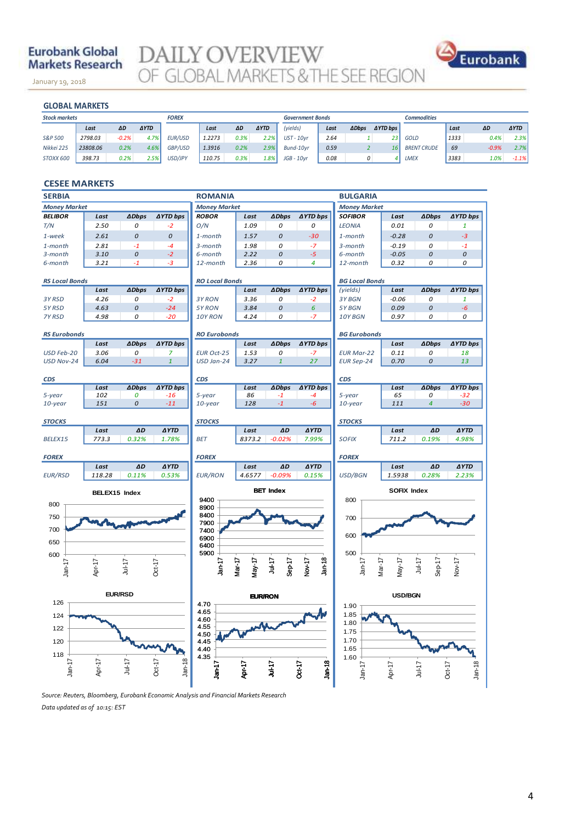## **Eurobank Global Markets Research**

January 19, 2018

**DAILY OVERVIEW**<br>OF GLOBAL MARKETS & THE SEE REGION



#### **GLOBAL MARKETS**

November 14, 2013

| <b>GLOBAL MARKETS</b> |          |         |             |              |        |      |             |                         |      |              |                 |                    |      |         |             |
|-----------------------|----------|---------|-------------|--------------|--------|------|-------------|-------------------------|------|--------------|-----------------|--------------------|------|---------|-------------|
| <b>Stock markets</b>  |          |         |             | <b>FOREX</b> |        |      |             | <b>Government Bonds</b> |      |              |                 | <b>Commodities</b> |      |         |             |
|                       | Last     | ΔD      | <b>AYTD</b> |              | Last   | ΔD   | <b>AYTD</b> | (yields)                | Last | <b>ADbps</b> | <b>AYTD</b> bps |                    | Last | ΔD      | <b>AYTD</b> |
| S&P 500               | 2798.03  | $-0.2%$ | 4.7%        | EUR/USD      | 1.2273 | 0.3% | 2.2%        | $UST - 10yr$            | 2.64 |              | 23 <sup>1</sup> | <b>GOLD</b>        | 1333 | 0.4%    | 2.3%        |
| Nikkei 225            | 23808.06 | 0.2%    | 4.6%        | GBP/USD      | 1.3916 | 0.2% | 2.9%        | Bund-10vr               | 0.59 | z            | 16              | <b>BRENT CRUDE</b> | 69   | $-0.9%$ | 2.7%        |
| STOXX 600             | 398.73   | 0.2%    | 2.5%        | USD/JPY      | 110.75 | 0.3% | 1.8%        | $JGB - 10vr$            | 0.08 | 0            |                 | <b>LMEX</b>        | 3383 | 1.0%    | $-1.1\%$    |

#### **CESEE MARKETS**

| <b>SERBIA</b>         |                                          |                |                      | <b>ROMANIA</b>           |                  |                     |                  | <b>BULGARIA</b>       |                    |                  |                      |  |
|-----------------------|------------------------------------------|----------------|----------------------|--------------------------|------------------|---------------------|------------------|-----------------------|--------------------|------------------|----------------------|--|
| <b>Money Market</b>   |                                          |                |                      | <b>Money Market</b>      |                  |                     |                  | <b>Money Market</b>   |                    |                  |                      |  |
| <b>BELIBOR</b>        | Last                                     | <b>ADbps</b>   | <b>AYTD bps</b>      | <b>ROBOR</b>             | Last             | <b>ADbps</b>        | <b>∆YTD bps</b>  | <b>SOFIBOR</b>        | Last               | <b>ADbps</b>     | <b>∆YTD bps</b>      |  |
| T/N                   | 2.50                                     | 0              | $-2$                 | O/N                      | 1.09             | 0                   | 0                | <b>LEONIA</b>         | 0.01               | 0                | $\mathbf{1}$         |  |
| 1-week                | 2.61                                     | $\Omega$       | $\Omega$             | 1-month                  | 1.57             | 0                   | $-30$            | 1-month               | $-0.28$            | 0                | $-3$                 |  |
| 1-month               | 2.81                                     | $-1$           | $-4$                 | 3-month                  | 1.98             | 0                   | $-7$             | 3-month               | $-0.19$            | 0                | $-1$                 |  |
| 3-month               | 3.10                                     | 0              | $-2$                 | 6-month                  | 2.22             | 0                   | $-5$             | 6-month               | $-0.05$            | 0                | 0                    |  |
| 6-month               | 3.21                                     | $-1$           | -3                   | 12-month                 | 2.36             | 0                   | 4                | 12-month              | 0.32               | 0                | 0                    |  |
| <b>RS Local Bonds</b> |                                          |                |                      | <b>RO Local Bonds</b>    |                  |                     |                  | <b>BG Local Bonds</b> |                    |                  |                      |  |
|                       | Last                                     | <b>ADbps</b>   | <b>∆YTD bps</b>      |                          | Last             | <b>ADbps</b>        | <b>AYTD bps</b>  | (yields)              | Last               | <b>ADbps</b>     | ∆YTD bps             |  |
| 3Y RSD                | 4.26                                     | 0              | $-2$                 | 3Y RON                   | 3.36             | 0                   | $-2$             | 3Y BGN                | $-0.06$            | 0                | $\mathbf{1}$         |  |
| 5Y RSD                | 4.63                                     | 0              | $-24$                | 5Y RON                   | 3.84             | 0                   | 6                | 5Y BGN                | 0.09               | 0                | $-6$                 |  |
| 7Y RSD                | 4.98                                     | 0              | $-20$                | 10Y RON                  | 4.24             | 0                   | $-7$             | 10Y BGN               | 0.97               | 0                | 0                    |  |
| <b>RS Eurobonds</b>   |                                          |                |                      | <b>RO Eurobonds</b>      |                  |                     |                  | <b>BG Eurobonds</b>   |                    |                  |                      |  |
|                       | Last                                     | <b>ADbps</b>   | <b>∆YTD bps</b>      |                          | Last             | <b>ADbps</b>        | <b>∆YTD bps</b>  |                       | Last               | <b>ADbps</b>     | ∆YTD bps             |  |
| USD Feb-20            | 3.06                                     | $\overline{O}$ | $\overline{z}$       | <b>EUR Oct-25</b>        | 1.53             | 0                   | $-7$             | <b>EUR Mar-22</b>     | 0.11               | 0                | 18                   |  |
| USD Nov-24            | 6.04                                     | $-31$          | $\mathbf{1}$         | USD Jan-24               | 3.27             | $\mathbf{1}$        | 27               | <b>EUR Sep-24</b>     | 0.70               | 0                | 13                   |  |
| CDS                   |                                          |                |                      | <b>CDS</b>               |                  |                     |                  | <b>CDS</b>            |                    |                  |                      |  |
|                       | Last                                     | <b>ADbps</b>   | <b>AYTD bps</b>      |                          | Last             | <b>ADbps</b>        | <b>AYTD bps</b>  |                       | Last               | <b>ADbps</b>     | <b>AYTD bps</b>      |  |
| 5-year                | 102                                      | 0              | $-16$                | 5-year                   | 86               | $-1$                | -4               | 5-year                | 65                 | 0                | $-32$                |  |
| $10$ -year            | 151                                      | 0              | $-11$                | 10-year                  | 128              | $-1$                | $-6$             | 10-year               | 111                | 4                | $-30$                |  |
| <b>STOCKS</b>         |                                          |                |                      | <b>STOCKS</b>            |                  |                     |                  | <b>STOCKS</b>         |                    |                  |                      |  |
|                       | Last                                     | AD             | <b>AYTD</b>          |                          | Last             | AD                  | <b>AYTD</b>      |                       | Last               | AD               | <b>AYTD</b>          |  |
| BELEX15               | 773.3                                    | 0.32%          | 1.78%                | <b>BET</b>               | 8373.2           | $-0.02%$            | 7.99%            | <b>SOFIX</b>          | 711.2              | 0.19%            | 4.98%                |  |
| <b>FOREX</b>          |                                          |                |                      | <b>FOREX</b>             |                  |                     |                  | <b>FOREX</b>          |                    |                  |                      |  |
|                       | Last                                     | ΔD             | <b>AYTD</b>          |                          | Last             | ΔD                  | <b>AYTD</b>      |                       | Last               | ΔD               | <b>AYTD</b>          |  |
| <b>EUR/RSD</b>        | 118.28                                   | 0.11%          | 0.53%                | <b>EUR/RON</b>           | 4.6577           | $-0.09%$            | 0.15%            | USD/BGN               | 1.5938             | 0.28%            | 2.23%                |  |
|                       | BELEX15 Index                            |                |                      | <b>BET Index</b><br>9400 |                  |                     |                  |                       | <b>SOFIX Index</b> |                  |                      |  |
| 800                   |                                          |                |                      | 8900                     |                  |                     |                  | 800                   |                    |                  |                      |  |
| 750                   |                                          |                |                      | 8400                     |                  |                     |                  | 700                   |                    |                  |                      |  |
| 700                   |                                          |                |                      | 7900                     |                  |                     |                  |                       |                    |                  |                      |  |
|                       |                                          |                |                      | 7400<br>6900             |                  |                     |                  | 600                   |                    |                  |                      |  |
| 650                   |                                          |                |                      | 6400                     |                  |                     |                  |                       |                    |                  |                      |  |
| 600                   |                                          |                |                      | 5900                     |                  |                     |                  | 500                   |                    |                  |                      |  |
| $Jan-17$              | Apr-17                                   | $Jul-17$       | Oct-17               | Jan-17                   | Mar-17<br>May-17 | $J$ ul-17<br>Sep-17 | Jan-18<br>Nov-17 | $Jan-17$<br>Mar-17    | $May-17$           | Jul-17<br>Sep-17 | Nov-17               |  |
|                       |                                          |                |                      |                          |                  |                     |                  |                       |                    |                  |                      |  |
|                       |                                          |                |                      |                          |                  |                     |                  |                       |                    |                  |                      |  |
| 126                   | <b>EUR/RSD</b><br><b>EUR/RON</b><br>4.70 |                |                      |                          |                  |                     |                  | 1.90                  | <b>USD/BGN</b>     |                  |                      |  |
| 124                   |                                          |                | 4.65<br>4.60         |                          |                  |                     | 1.85             |                       |                    |                  |                      |  |
| 122                   |                                          |                |                      | 4.55                     |                  |                     |                  | 1.80                  |                    |                  |                      |  |
|                       |                                          |                |                      | 4.50                     |                  |                     |                  | 1.75<br>1.70          |                    |                  |                      |  |
| 120                   |                                          |                |                      | 4.45<br>4.40             |                  |                     |                  | 1.65                  |                    |                  |                      |  |
| 118                   |                                          |                |                      | 4.35                     |                  |                     |                  | 1.60                  |                    |                  |                      |  |
| Jan <sub>1</sub>      | Apr-17                                   | Jul-17         | $Jan-18$<br>$Oct-17$ | こう                       | Apr-17           | 三古                  | Jan-18<br>Oct-17 | $Jan-17$              | Apr-17             | $Jul-17$         | $Jan-18$<br>$Oct-17$ |  |
|                       |                                          |                |                      |                          |                  |                     |                  |                       |                    |                  |                      |  |
|                       |                                          |                |                      |                          |                  |                     |                  |                       |                    |                  |                      |  |

*Source: Reuters, Bloomberg, Eurobank Economic Analysis and Financial Markets Research Data updated as of 10:15: EST*